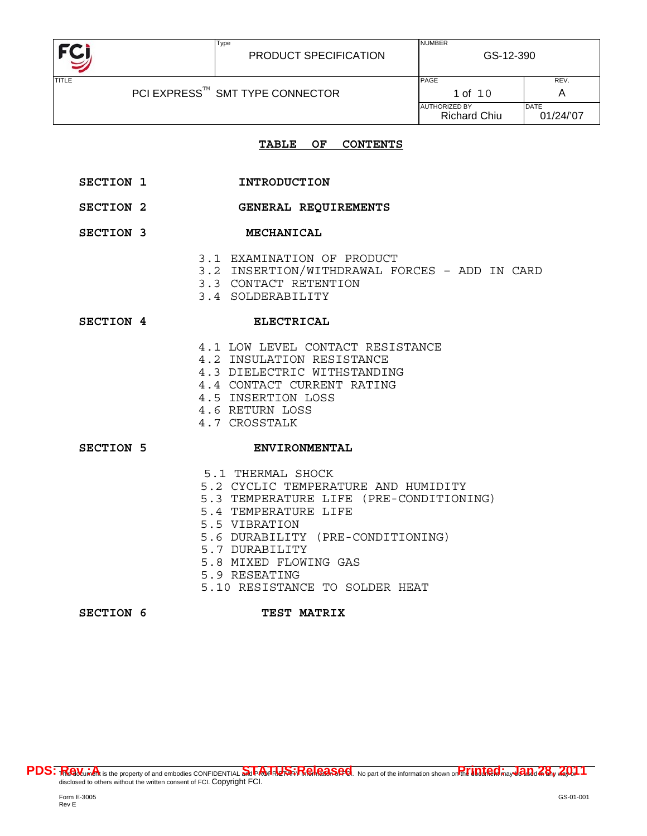

Type

## **TABLE OF CONTENTS**

- SECTION 1 **INTRODUCTION**
- **SECTION 2 GENERAL REQUIREMENTS**
- SECTION 3 **MECHANICAL** 
	- 3.1 EXAMINATION OF PRODUCT
	- 3.2 INSERTION/WITHDRAWAL FORCES ADD IN CARD
	- 3.3 CONTACT RETENTION
	- 3.4 SOLDERABILITY

#### SECTION 4 ELECTRICAL

- 4.1 LOW LEVEL CONTACT RESISTANCE
- 4.2 INSULATION RESISTANCE
- 4.3 DIELECTRIC WITHSTANDING
- 4.4 CONTACT CURRENT RATING
- 4.5 INSERTION LOSS
- 4.6 RETURN LOSS
- 4.7 CROSSTALK

# SECTION 5 ENVIRONMENTAL

- 5.1 THERMAL SHOCK
- 5.2 CYCLIC TEMPERATURE AND HUMIDITY
- 5.3 TEMPERATURE LIFE (PRE-CONDITIONING)
- 5.4 TEMPERATURE LIFE
- 5.5 VIBRATION
- 5.6 DURABILITY (PRE-CONDITIONING)
- 5.7 DURABILITY
- 5.8 MIXED FLOWING GAS
- 5.9 RESEATING
- 5.10 RESISTANCE TO SOLDER HEAT

#### SECTION 6 TEST MATRIX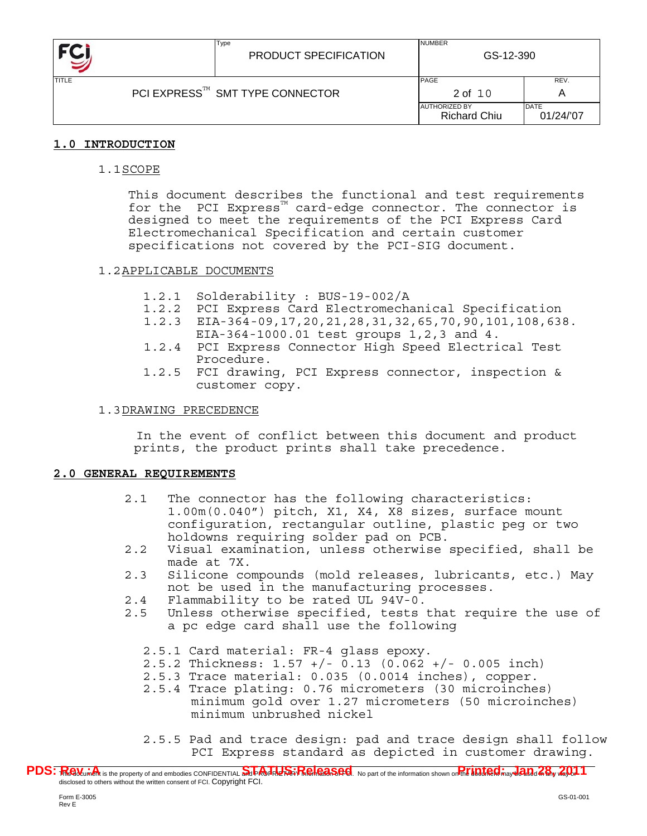

| <b>TITLE</b> |                                 | <b>PAGE</b>                                 | REV.              |
|--------------|---------------------------------|---------------------------------------------|-------------------|
|              | PCI EXPRESS™ SMT TYPE CONNECTOR | 2 of 10                                     |                   |
|              |                                 | <b>AUTHORIZED BY</b><br><b>Richard Chiu</b> | DATE<br>01/24/'07 |

# **1.0 INTRODUCTION**

1.1SCOPE

This document describes the functional and test requirements for the PCI Express<sup> $M$ </sup> card-edge connector. The connector is designed to meet the requirements of the PCI Express Card Electromechanical Specification and certain customer specifications not covered by the PCI-SIG document.

# 1.2APPLICABLE DOCUMENTS

- 1.2.1 Solderability : BUS-19-002/A
- 1.2.2 PCI Express Card Electromechanical Specification
- 1.2.3 EIA-364-09,17,20,21,28,31,32,65,70,90,101,108,638.
- EIA-364-1000.01 test groups 1,2,3 and 4.
- 1.2.4 PCI Express Connector High Speed Electrical Test Procedure.
- 1.2.5 FCI drawing, PCI Express connector, inspection & customer copy.

# 1.3DRAWING PRECEDENCE

 In the event of conflict between this document and product prints, the product prints shall take precedence.

# **2.0 GENERAL REQUIREMENTS**

- 2.1 The connector has the following characteristics: 1.00m(0.040") pitch, X1, X4, X8 sizes, surface mount configuration, rectangular outline, plastic peg or two holdowns requiring solder pad on PCB.
- 2.2 Visual examination, unless otherwise specified, shall be made at 7X.
- 2.3 Silicone compounds (mold releases, lubricants, etc.) May not be used in the manufacturing processes.
- 2.4 Flammability to be rated UL 94V-0.
- 2.5 Unless otherwise specified, tests that require the use of a pc edge card shall use the following
	- 2.5.1 Card material: FR-4 glass epoxy.
	- 2.5.2 Thickness: 1.57 +/- 0.13 (0.062 +/- 0.005 inch)
	- 2.5.3 Trace material: 0.035 (0.0014 inches), copper.
	- 2.5.4 Trace plating: 0.76 micrometers (30 microinches) minimum gold over 1.27 micrometers (50 microinches) minimum unbrushed nickel
	- 2.5.5 Pad and trace design: pad and trace design shall follow PCI Express standard as depicted in customer drawing.

PDS: Realturent is the property of and embodies CONFIDENTIAL Superinted Strate District Ale Content of the information shown on the **information shown on the information** disclosed to others without the written consent of FCI. Copyright FCI.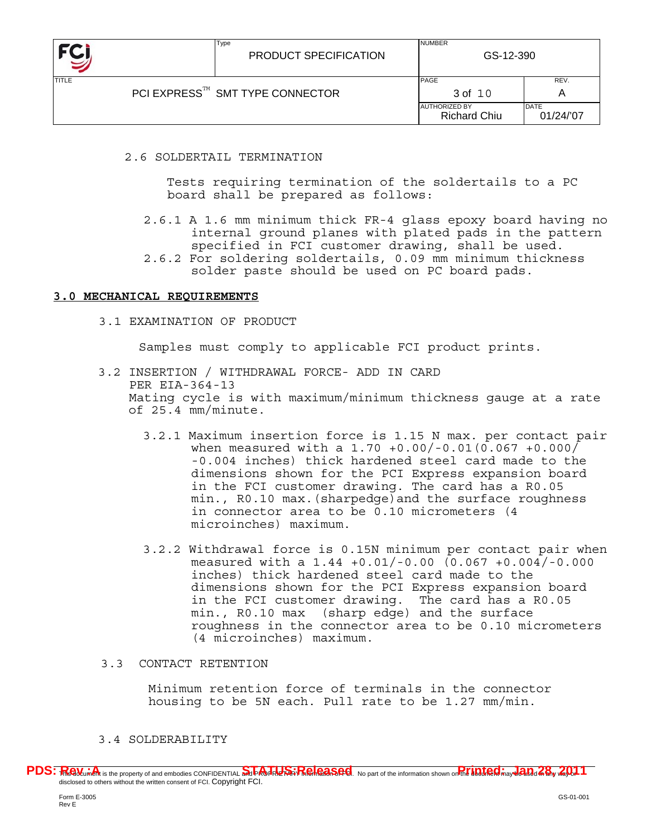

| <b>TITLE</b> |                                 | <b>PAGE</b>                                 | REV.              |
|--------------|---------------------------------|---------------------------------------------|-------------------|
|              | PCI EXPRESS™ SMT TYPE CONNECTOR | 3 of 10                                     | Α                 |
|              |                                 | <b>AUTHORIZED BY</b><br><b>Richard Chiu</b> | DATE<br>01/24/'07 |

2.6 SOLDERTAIL TERMINATION

Type

 Tests requiring termination of the soldertails to a PC board shall be prepared as follows:

- 2.6.1 A 1.6 mm minimum thick FR-4 glass epoxy board having no internal ground planes with plated pads in the pattern specified in FCI customer drawing, shall be used.
- 2.6.2 For soldering soldertails, 0.09 mm minimum thickness solder paste should be used on PC board pads.

# **3.0 MECHANICAL REQUIREMENTS**

3.1 EXAMINATION OF PRODUCT

Samples must comply to applicable FCI product prints.

- 3.2 INSERTION / WITHDRAWAL FORCE- ADD IN CARD PER EIA-364-13 Mating cycle is with maximum/minimum thickness gauge at a rate of 25.4 mm/minute.
	- 3.2.1 Maximum insertion force is 1.15 N max. per contact pair when measured with a 1.70 +0.00/-0.01(0.067 +0.000/ -0.004 inches) thick hardened steel card made to the dimensions shown for the PCI Express expansion board in the FCI customer drawing. The card has a R0.05 min., R0.10 max.(sharpedge)and the surface roughness in connector area to be 0.10 micrometers (4 microinches) maximum.
	- 3.2.2 Withdrawal force is 0.15N minimum per contact pair when measured with a 1.44 +0.01/-0.00 (0.067 +0.004/-0.000 inches) thick hardened steel card made to the dimensions shown for the PCI Express expansion board in the FCI customer drawing. The card has a R0.05 min., R0.10 max (sharp edge) and the surface roughness in the connector area to be 0.10 micrometers (4 microinches) maximum.

# 3.3 CONTACT RETENTION

Minimum retention force of terminals in the connector housing to be 5N each. Pull rate to be 1.27 mm/min.

# 3.4 SOLDERABILITY

PDS: Realturent is the property of and embodies CONFIDENTIAL Superinted Strate District Ale Content of the information shown on the **information shown on the information** disclosed to others without the written consent of FCI. Copyright FCI.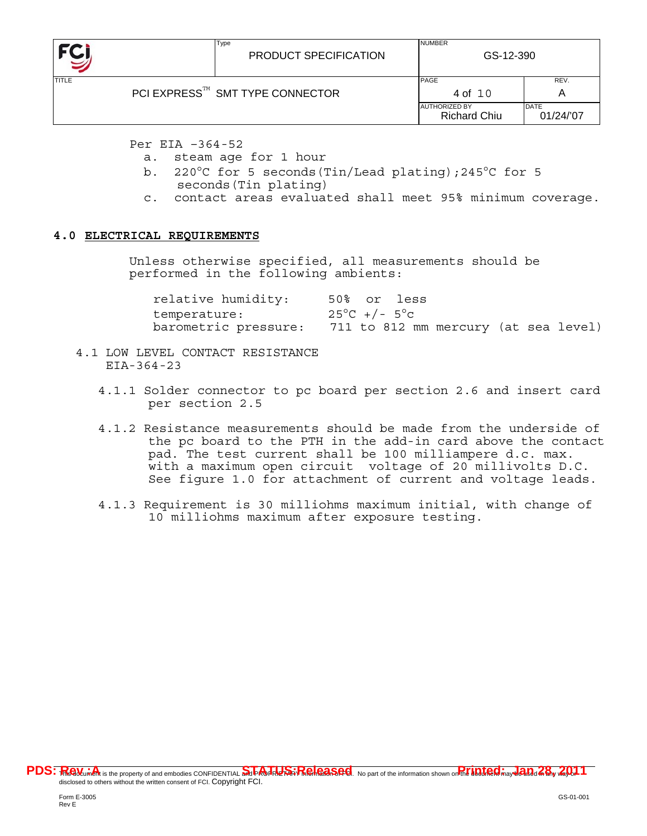

Per EIA –364-52

a. steam age for 1 hour

Type

- b. 220°C for 5 seconds(Tin/Lead plating);245°C for 5 seconds(Tin plating)
- c. contact areas evaluated shall meet 95% minimum coverage.

# **4.0 ELECTRICAL REQUIREMENTS**

Unless otherwise specified, all measurements should be performed in the following ambients:

| relative humidity:   | 50% or less                          |
|----------------------|--------------------------------------|
| temperature:         | $25^{\circ}$ C +/- $5^{\circ}$ c     |
| barometric pressure: | 711 to 812 mm mercury (at sea level) |

- 4.1 LOW LEVEL CONTACT RESISTANCE EIA-364-23
	- 4.1.1 Solder connector to pc board per section 2.6 and insert card per section 2.5
	- 4.1.2 Resistance measurements should be made from the underside of the pc board to the PTH in the add-in card above the contact pad. The test current shall be 100 milliampere d.c. max. with a maximum open circuit voltage of 20 millivolts D.C. See figure 1.0 for attachment of current and voltage leads.
	- 4.1.3 Requirement is 30 milliohms maximum initial, with change of 10 milliohms maximum after exposure testing.

PDS: Realturent is the property of and embodies CONFIDENTIAL Superinted Strate District Ale Content of the information shown on the **information shown on the information** disclosed to others without the written consent of FCI. Copyright FCI.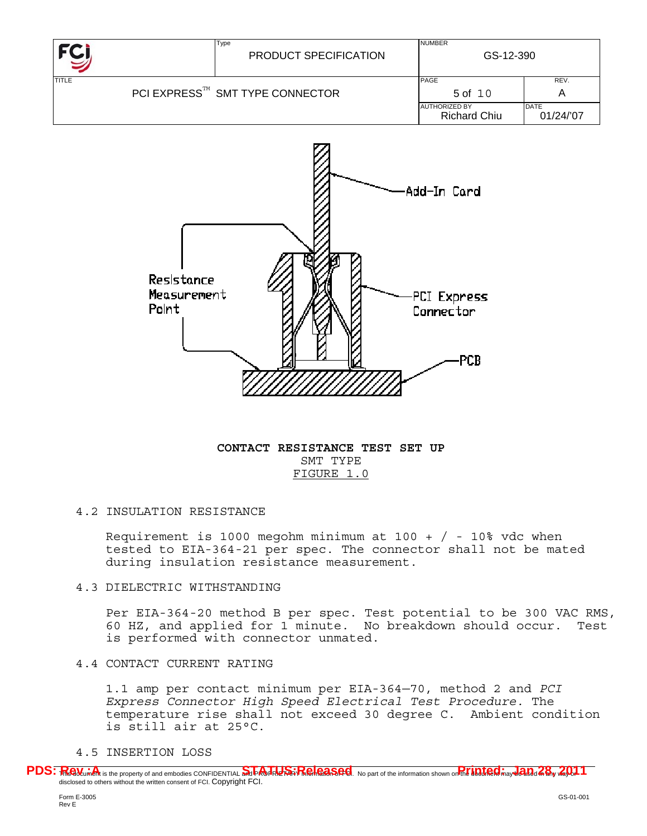



**CONTACT RESISTANCE TEST SET UP** SMT TYPE FIGURE 1.0

# 4.2 INSULATION RESISTANCE

Requirement is 1000 megohm minimum at 100 +  $/$  - 10% vdc when tested to EIA-364-21 per spec. The connector shall not be mated during insulation resistance measurement.

#### 4.3 DIELECTRIC WITHSTANDING

Per EIA-364-20 method B per spec. Test potential to be 300 VAC RMS, 60 HZ, and applied for 1 minute. No breakdown should occur. Test is performed with connector unmated.

# 4.4 CONTACT CURRENT RATING

1.1 amp per contact minimum per EIA-364—70, method 2 and *PCI Express Connector High Speed Electrical Test Procedure.* The temperature rise shall not exceed 30 degree C. Ambient condition is still air at 25°C.

### 4.5 INSERTION LOSS

PDS: Realturent is the property of and embodies CONFIDENTIAL Superinted Strate District Ale Content of the information shown on the **information shown on the information** disclosed to others without the written consent of FCI. Copyright FCI.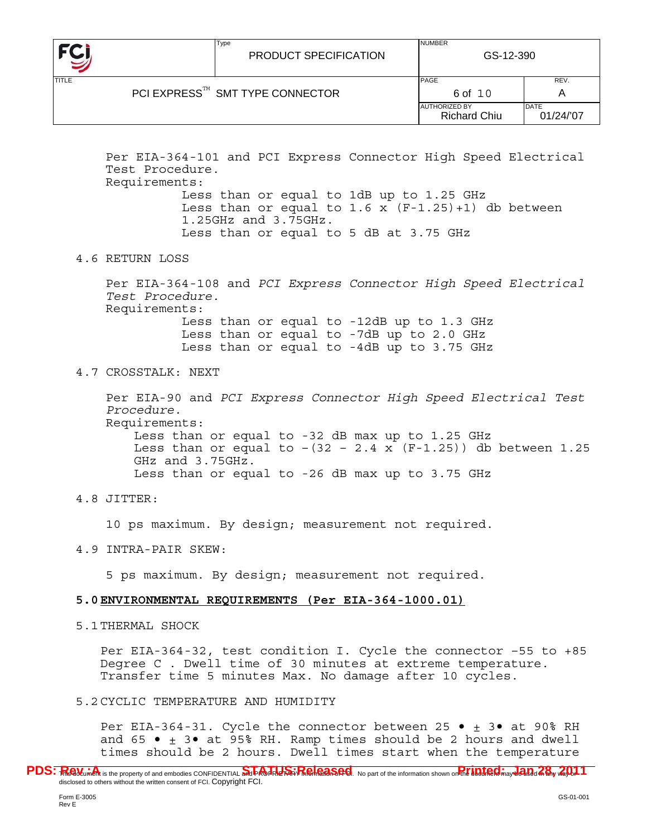| FC           | Type<br>PRODUCT SPECIFICATION               | <b>NUMBER</b><br>GS-12-390                  |                          |  |
|--------------|---------------------------------------------|---------------------------------------------|--------------------------|--|
| <b>TITLE</b> |                                             | PAGE                                        | REV.                     |  |
|              | PCI EXPRESS <sup>™</sup> SMT TYPE CONNECTOR | 6 of 10                                     | Α                        |  |
|              |                                             | <b>AUTHORIZED BY</b><br><b>Richard Chiu</b> | <b>DATE</b><br>01/24/'07 |  |

Per EIA-364-101 and PCI Express Connector High Speed Electrical Test Procedure. Requirements:

> Less than or equal to 1dB up to 1.25 GHz Less than or equal to  $1.6 \times (F-1.25)+1$  db between 1.25GHz and 3.75GHz. Less than or equal to 5 dB at 3.75 GHz

# 4.6 RETURN LOSS

Per EIA-364-108 and *PCI Express Connector High Speed Electrical Test Procedure.*  Requirements:

 Less than or equal to -12dB up to 1.3 GHz Less than or equal to -7dB up to 2.0 GHz Less than or equal to -4dB up to 3.75 GHz

# 4.7 CROSSTALK: NEXT

Per EIA-90 and *PCI Express Connector High Speed Electrical Test Procedure.*  Requirements:

Less than or equal to -32 dB max up to 1.25 GHz Less than or equal to  $-(32 - 2.4 \times (F-1.25))$  db between 1.25 GHz and 3.75GHz. Less than or equal to -26 dB max up to 3.75 GHz

# 4.8 JITTER:

10 ps maximum. By design; measurement not required.

# 4.9 INTRA-PAIR SKEW:

5 ps maximum. By design; measurement not required.

# **5.0ENVIRONMENTAL REQUIREMENTS (Per EIA-364-1000.01)**

5.1THERMAL SHOCK

Per EIA-364-32, test condition I. Cycle the connector –55 to +85 Degree C . Dwell time of 30 minutes at extreme temperature. Transfer time 5 minutes Max. No damage after 10 cycles.

# 5.2CYCLIC TEMPERATURE AND HUMIDITY

Per EIA-364-31. Cycle the connector between 25  $\bullet$   $\pm$  3 $\bullet$  at 90% RH and 65  $\bullet$   $\pm$  3 $\bullet$  at 95% RH. Ramp times should be 2 hours and dwell times should be 2 hours. Dwell times start when the temperature

PDS: Realturent is the property of and embodies CONFIDENTIAL Superinted Strate District Ale Content of the information shown on the **information shown on the information** disclosed to others without the written consent of FCI. Copyright FCI.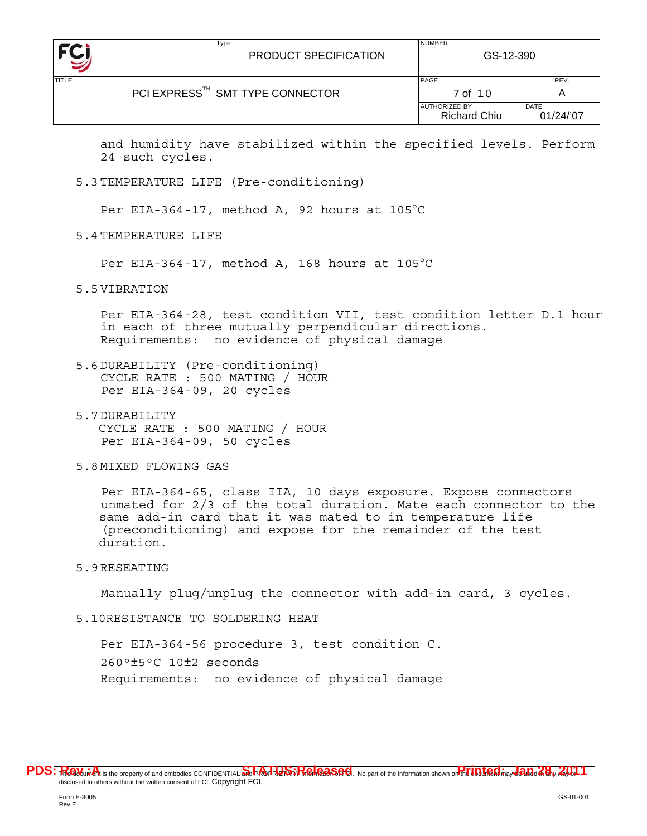

and humidity have stabilized within the specified levels. Perform 24 such cycles.

5.3TEMPERATURE LIFE (Pre-conditioning)

Per EIA-364-17, method A, 92 hours at 105°C

5.4TEMPERATURE LIFE

Per EIA-364-17, method A, 168 hours at 105°C

5.5VIBRATION

Per EIA-364-28, test condition VII, test condition letter D.1 hour in each of three mutually perpendicular directions. Requirements: no evidence of physical damage

- 5.6DURABILITY (Pre-conditioning) CYCLE RATE : 500 MATING / HOUR Per EIA-364-09, 20 cycles
- 5.7DURABILITY CYCLE RATE : 500 MATING / HOUR Per EIA-364-09, 50 cycles
- 5.8MIXED FLOWING GAS

Per EIA-364-65, class IIA, 10 days exposure. Expose connectors unmated for 2/3 of the total duration. Mate each connector to the same add-in card that it was mated to in temperature life (preconditioning) and expose for the remainder of the test duration.

5.9RESEATING

Manually plug/unplug the connector with add-in card, 3 cycles.

5.10RESISTANCE TO SOLDERING HEAT

Per EIA-364-56 procedure 3, test condition C. 260°±5°C 10±2 seconds Requirements: no evidence of physical damage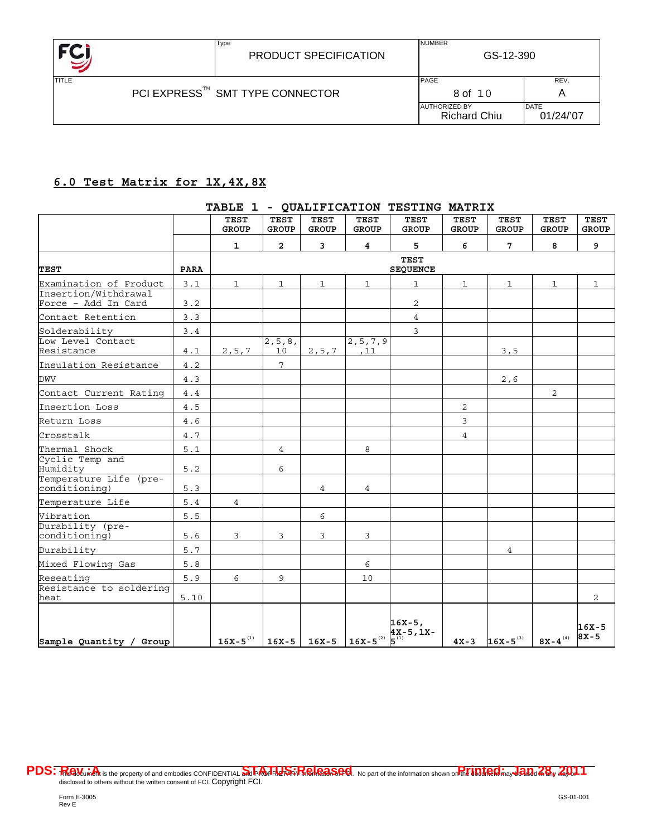

Type

NUMBER

# **6.0 Test Matrix for 1X,4X,8X**

|                                             |             | <b>TEST</b><br><b>GROUP</b> | <b>TEST</b><br><b>GROUP</b> | <b>TEST</b><br><b>GROUP</b> | <b>TEST</b><br><b>GROUP</b> | <b>TEST</b><br><b>GROUP</b>                                                      | <b>TEST</b><br><b>GROUP</b> | <b>TEST</b><br><b>GROUP</b>                          | <b>TEST</b><br><b>GROUP</b> | <b>TEST</b><br><b>GROUP</b> |
|---------------------------------------------|-------------|-----------------------------|-----------------------------|-----------------------------|-----------------------------|----------------------------------------------------------------------------------|-----------------------------|------------------------------------------------------|-----------------------------|-----------------------------|
|                                             |             | 1                           | $\overline{a}$              | $\overline{3}$              | 4                           | 5                                                                                | 6                           | $7\overline{ }$                                      | 8                           | 9                           |
| <b>TEST</b>                                 | <b>PARA</b> |                             |                             |                             |                             | <b>TEST</b><br><b>SEQUENCE</b>                                                   |                             |                                                      |                             |                             |
| Examination of Product                      | 3.1         | $\mathbf{1}$                | 1                           | $\mathbf 1$                 | 1                           | 1                                                                                | $\mathbf 1$                 | $\mathbf{1}$                                         | $\mathbf{1}$                | 1                           |
| Insertion/Withdrawal<br>Force - Add In Card | 3.2         |                             |                             |                             |                             | 2                                                                                |                             |                                                      |                             |                             |
| Contact Retention                           | 3.3         |                             |                             |                             |                             | $\overline{4}$                                                                   |                             |                                                      |                             |                             |
| Solderability                               | 3.4         |                             |                             |                             |                             | 3                                                                                |                             |                                                      |                             |                             |
| Low Level Contact<br>Resistance             | 4.1         | 2, 5, 7                     | 2, 5, 8,<br>10              | 2, 5, 7                     | 2, 5, 7, 9<br>,11           |                                                                                  |                             | 3,5                                                  |                             |                             |
| Insulation Resistance                       | 4.2         |                             | $\overline{7}$              |                             |                             |                                                                                  |                             |                                                      |                             |                             |
| <b>DWV</b>                                  | 4.3         |                             |                             |                             |                             |                                                                                  |                             | 2,6                                                  |                             |                             |
| Contact Current Rating                      | 4.4         |                             |                             |                             |                             |                                                                                  |                             |                                                      | $\overline{2}$              |                             |
| Insertion Loss                              | 4.5         |                             |                             |                             |                             |                                                                                  | 2                           |                                                      |                             |                             |
| Return Loss                                 | 4.6         |                             |                             |                             |                             |                                                                                  | 3                           |                                                      |                             |                             |
| Crosstalk                                   | 4.7         |                             |                             |                             |                             |                                                                                  | $\overline{4}$              |                                                      |                             |                             |
| Thermal Shock                               | 5.1         |                             | 4                           |                             | 8                           |                                                                                  |                             |                                                      |                             |                             |
| Cyclic Temp and<br>Humidity                 | 5.2         |                             | 6                           |                             |                             |                                                                                  |                             |                                                      |                             |                             |
| Temperature Life (pre-<br>conditioning)     | 5.3         |                             |                             | 4                           | 4                           |                                                                                  |                             |                                                      |                             |                             |
| Temperature Life                            | $5.4$       | $\overline{4}$              |                             |                             |                             |                                                                                  |                             |                                                      |                             |                             |
| Vibration                                   | 5.5         |                             |                             | 6                           |                             |                                                                                  |                             |                                                      |                             |                             |
| Durability (pre-<br>conditioning)           | 5.6         | 3                           | 3                           | 3                           | 3                           |                                                                                  |                             |                                                      |                             |                             |
| Durability                                  | 5.7         |                             |                             |                             |                             |                                                                                  |                             | 4                                                    |                             |                             |
| Mixed Flowing Gas                           | 5.8         |                             |                             |                             | 6                           |                                                                                  |                             |                                                      |                             |                             |
| Reseating                                   | 5.9         | 6                           | 9                           |                             | 10                          |                                                                                  |                             |                                                      |                             |                             |
| Resistance to soldering<br>heat             | 5.10        |                             |                             |                             |                             |                                                                                  |                             |                                                      |                             | 2                           |
| Sample Quantity / Group                     |             |                             |                             |                             |                             | $16X - 5$ ,<br>$16X-5^{(1)}$ 16X-5 16X-5 16X-5 16X-5 <sup>(2)</sup> $4X-5$ , 1X- |                             | $4x-3$ 16x-5 <sup>(3)</sup> 8x-4 <sup>(4)</sup> 8X-5 |                             | $16X - 5$                   |

#### **TABLE 1 - QUALIFICATION TESTING MATRIX**

PDS: Realturent is the property of and embodies CONFIDENTIAL Superinted Strate District Ale Content of the information shown on the **information shown on the information** disclosed to others without the written consent of FCI. Copyright FCI.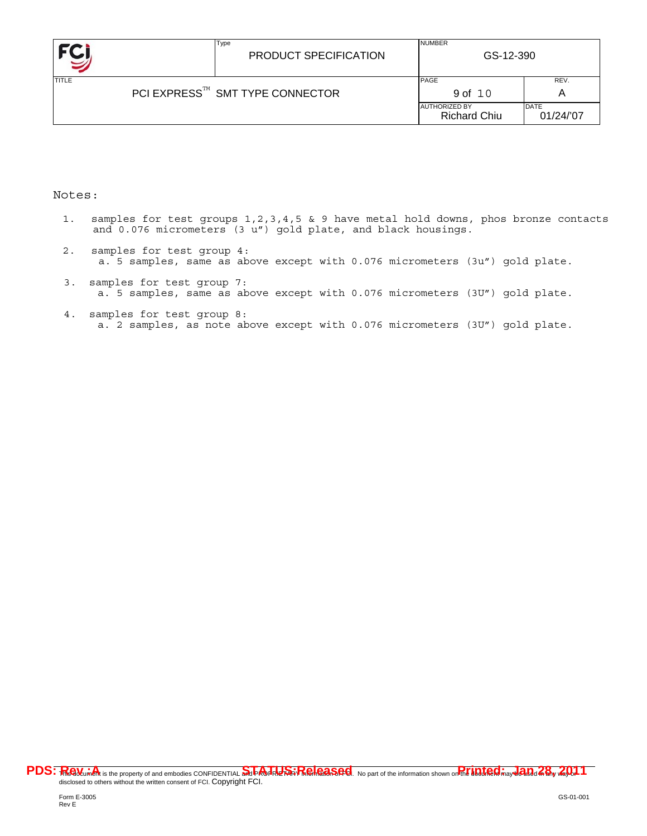|                                 | Type<br>PRODUCT SPECIFICATION | <b>NUMBER</b><br>GS-12-390                  |                          |
|---------------------------------|-------------------------------|---------------------------------------------|--------------------------|
| <b>TITLE</b>                    |                               | <b>PAGE</b>                                 | REV.                     |
| PCI EXPRESS™ SMT TYPE CONNECTOR | 9 of 10                       | A                                           |                          |
|                                 |                               | <b>AUTHORIZED BY</b><br><b>Richard Chiu</b> | <b>DATE</b><br>01/24/'07 |

### Notes:

- 1. samples for test groups 1,2,3,4,5 & 9 have metal hold downs, phos bronze contacts and 0.076 micrometers (3 u") gold plate, and black housings.
- 2. samples for test group 4: a. 5 samples, same as above except with 0.076 micrometers (3u") gold plate.
- 3. samples for test group 7: a. 5 samples, same as above except with 0.076 micrometers (3U") gold plate.
- 4. samples for test group 8: a. 2 samples, as note above except with 0.076 micrometers (3U") gold plate.